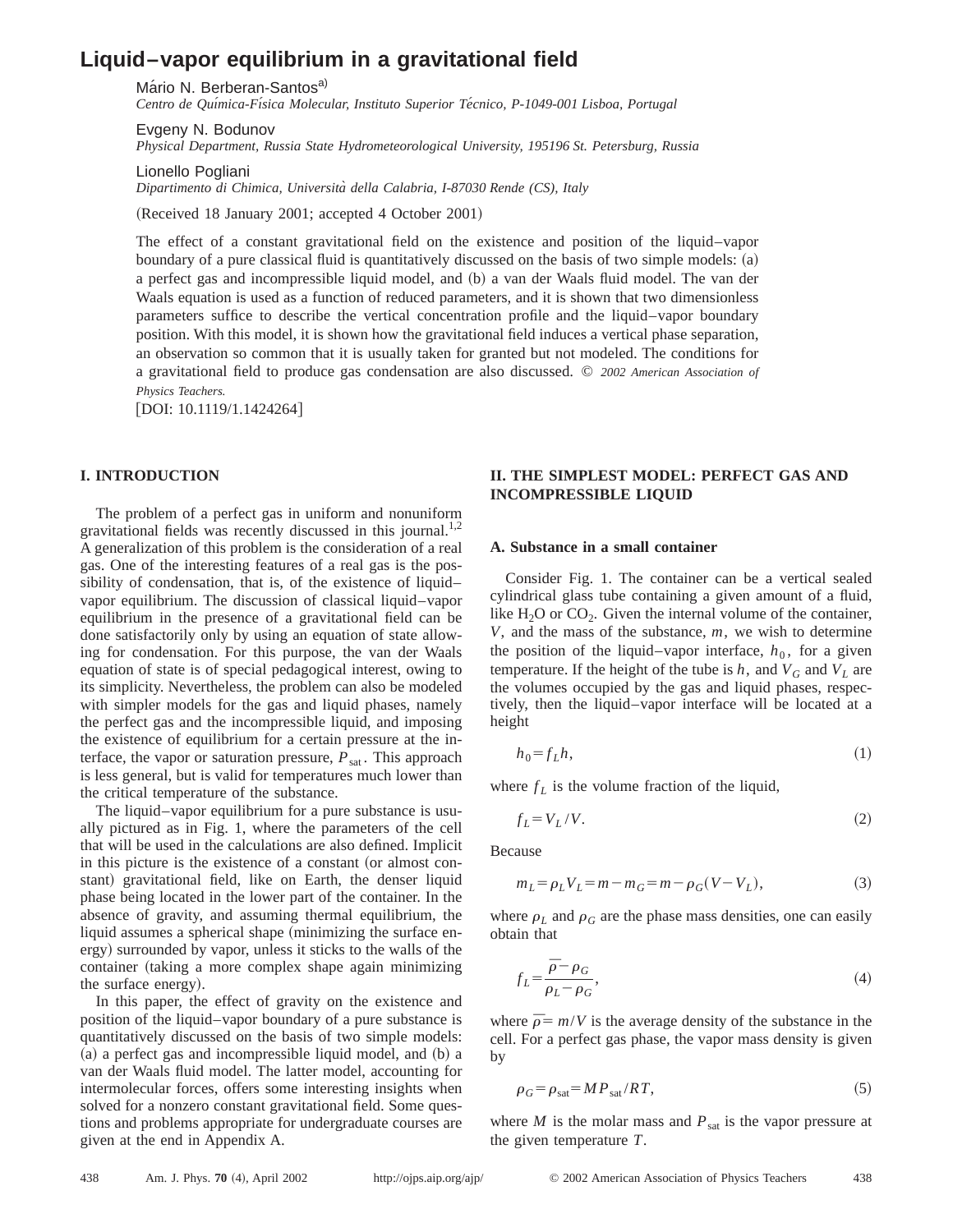# **Liquid–vapor equilibrium in a gravitational field**

Mário N. Berberan-Santos<sup>a)</sup>

Centro de Química-Física Molecular, Instituto Superior Técnico, P-1049-001 Lisboa, Portugal

Evgeny N. Bodunov

*Physical Department, Russia State Hydrometeorological University, 195196 St. Petersburg, Russia*

Lionello Pogliani

*Dipartimento di Chimica, Universita` della Calabria, I-87030 Rende (CS), Italy*

(Received 18 January 2001; accepted 4 October 2001)

The effect of a constant gravitational field on the existence and position of the liquid–vapor boundary of a pure classical fluid is quantitatively discussed on the basis of two simple models: (a) a perfect gas and incompressible liquid model, and (b) a van der Waals fluid model. The van der Waals equation is used as a function of reduced parameters, and it is shown that two dimensionless parameters suffice to describe the vertical concentration profile and the liquid–vapor boundary position. With this model, it is shown how the gravitational field induces a vertical phase separation, an observation so common that it is usually taken for granted but not modeled. The conditions for a gravitational field to produce gas condensation are also discussed. © *2002 American Association of Physics Teachers.*

 $[$ DOI: 10.1119/1.1424264 $]$ 

## **I. INTRODUCTION**

The problem of a perfect gas in uniform and nonuniform gravitational fields was recently discussed in this journal.<sup>1,2</sup> A generalization of this problem is the consideration of a real gas. One of the interesting features of a real gas is the possibility of condensation, that is, of the existence of liquid– vapor equilibrium. The discussion of classical liquid–vapor equilibrium in the presence of a gravitational field can be done satisfactorily only by using an equation of state allowing for condensation. For this purpose, the van der Waals equation of state is of special pedagogical interest, owing to its simplicity. Nevertheless, the problem can also be modeled with simpler models for the gas and liquid phases, namely the perfect gas and the incompressible liquid, and imposing the existence of equilibrium for a certain pressure at the interface, the vapor or saturation pressure,  $P_{\text{sat}}$ . This approach is less general, but is valid for temperatures much lower than the critical temperature of the substance.

The liquid–vapor equilibrium for a pure substance is usually pictured as in Fig. 1, where the parameters of the cell that will be used in the calculations are also defined. Implicit in this picture is the existence of a constant (or almost constant) gravitational field, like on Earth, the denser liquid phase being located in the lower part of the container. In the absence of gravity, and assuming thermal equilibrium, the liquid assumes a spherical shape (minimizing the surface energy) surrounded by vapor, unless it sticks to the walls of the container (taking a more complex shape again minimizing the surface energy).

In this paper, the effect of gravity on the existence and position of the liquid–vapor boundary of a pure substance is quantitatively discussed on the basis of two simple models:  $(a)$  a perfect gas and incompressible liquid model, and  $(b)$  a van der Waals fluid model. The latter model, accounting for intermolecular forces, offers some interesting insights when solved for a nonzero constant gravitational field. Some questions and problems appropriate for undergraduate courses are given at the end in Appendix A.

# **II. THE SIMPLEST MODEL: PERFECT GAS AND INCOMPRESSIBLE LIQUID**

## **A. Substance in a small container**

Consider Fig. 1. The container can be a vertical sealed cylindrical glass tube containing a given amount of a fluid, like  $H_2O$  or  $CO_2$ . Given the internal volume of the container, *V*, and the mass of the substance, *m*, we wish to determine the position of the liquid–vapor interface,  $h_0$ , for a given temperature. If the height of the tube is *h*, and  $V_G$  and  $V_L$  are the volumes occupied by the gas and liquid phases, respectively, then the liquid–vapor interface will be located at a height

$$
h_0 = f_L h,\tag{1}
$$

where  $f_L$  is the volume fraction of the liquid,

$$
f_L = V_L / V. \tag{2}
$$

Because

$$
m_L = \rho_L V_L = m - m_G = m - \rho_G (V - V_L),\tag{3}
$$

where  $\rho_L$  and  $\rho_G$  are the phase mass densities, one can easily obtain that

$$
f_L = \frac{\bar{\rho} - \rho_G}{\rho_L - \rho_G},\tag{4}
$$

where  $\bar{p} = m/V$  is the average density of the substance in the cell. For a perfect gas phase, the vapor mass density is given by

$$
\rho_G = \rho_{sat} = MP_{sat}/RT,\tag{5}
$$

where  $M$  is the molar mass and  $P_{\text{sat}}$  is the vapor pressure at the given temperature *T*.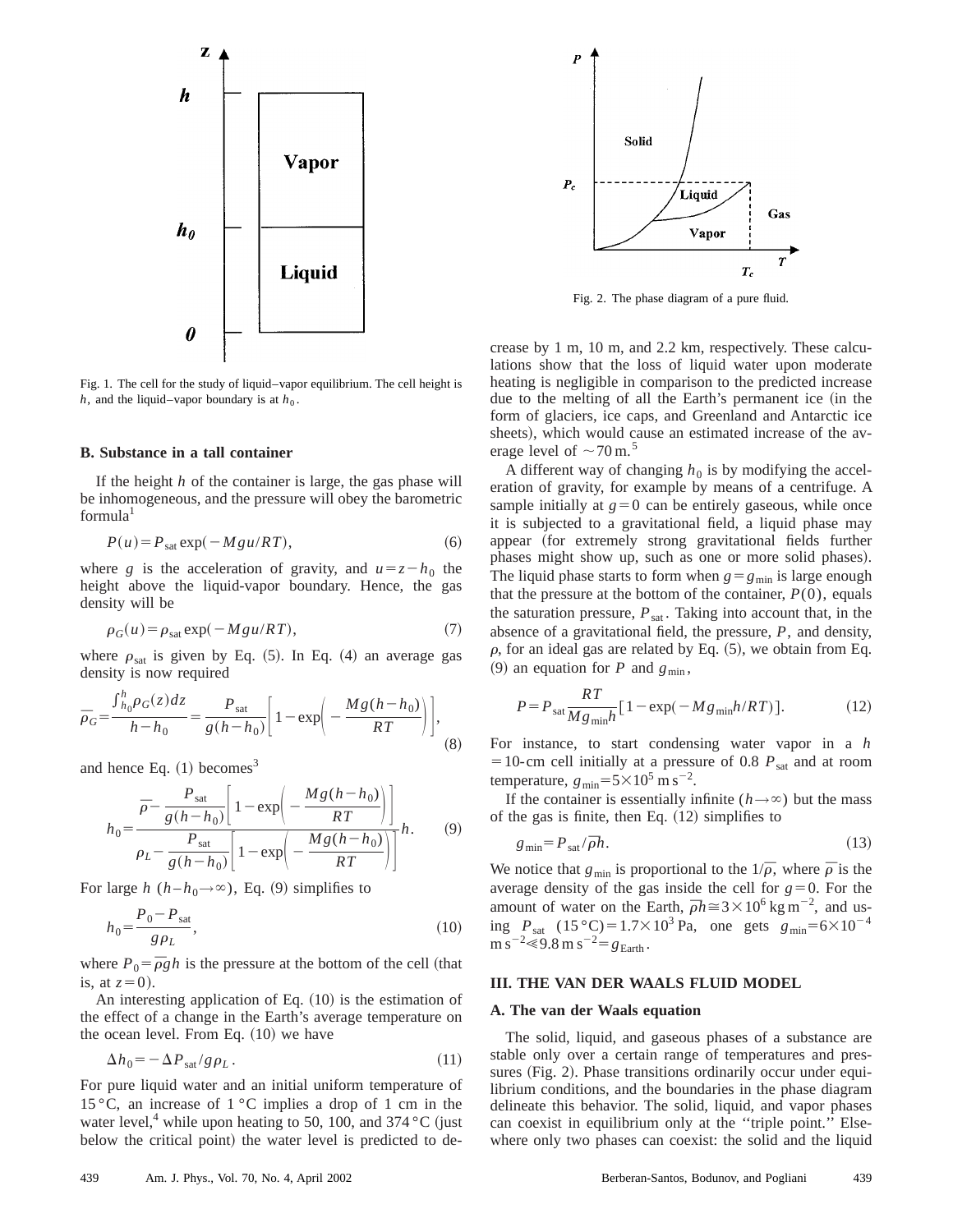

Fig. 1. The cell for the study of liquid–vapor equilibrium. The cell height is *h*, and the liquid–vapor boundary is at  $h_0$ .

## **B. Substance in a tall container**

If the height *h* of the container is large, the gas phase will be inhomogeneous, and the pressure will obey the barometric formula<sup>1</sup>

$$
P(u) = P_{\text{sat}} \exp(-Mgu/RT), \tag{6}
$$

where *g* is the acceleration of gravity, and  $u=z-h_0$  the height above the liquid-vapor boundary. Hence, the gas density will be

$$
\rho_G(u) = \rho_{sat} \exp(-Mgu/RT),\tag{7}
$$

where  $\rho_{\text{sat}}$  is given by Eq. (5). In Eq. (4) an average gas density is now required

$$
\bar{p}_G = \frac{\int_{h_0}^h \rho_G(z) dz}{h - h_0} = \frac{P_{\text{sat}}}{g(h - h_0)} \left[ 1 - \exp\left( -\frac{Mg(h - h_0)}{RT} \right) \right],
$$
\n(8)

and hence Eq.  $(1)$  becomes<sup>3</sup>

$$
h_0 = \frac{\bar{p} - \frac{P_{\text{sat}}}{g(h - h_0)} \left[ 1 - \exp\left(-\frac{Mg(h - h_0)}{RT}\right) \right]}{P_{\text{sat}} - \frac{P_{\text{sat}}}{g(h - h_0)} \left[ 1 - \exp\left(-\frac{Mg(h - h_0)}{RT}\right) \right]} h. \tag{9}
$$

For large *h*  $(h-h_0\rightarrow\infty)$ , Eq. (9) simplifies to

$$
h_0 = \frac{P_0 - P_{sat}}{g\rho_L},
$$
\n(10)

where  $P_0 = \overline{\rho}gh$  is the pressure at the bottom of the cell (that is, at  $z=0$ ).

An interesting application of Eq.  $(10)$  is the estimation of the effect of a change in the Earth's average temperature on the ocean level. From Eq.  $(10)$  we have

$$
\Delta h_0 = -\Delta P_{\text{sat}} / g \rho_L. \tag{11}
$$

For pure liquid water and an initial uniform temperature of 15 °C, an increase of  $1 \text{ }^{\circ}$ C implies a drop of 1 cm in the water level,<sup>4</sup> while upon heating to 50, 100, and 374 °C (just below the critical point) the water level is predicted to de-



Fig. 2. The phase diagram of a pure fluid.

crease by 1 m, 10 m, and 2.2 km, respectively. These calculations show that the loss of liquid water upon moderate heating is negligible in comparison to the predicted increase due to the melting of all the Earth's permanent ice (in the form of glaciers, ice caps, and Greenland and Antarctic ice sheets), which would cause an estimated increase of the average level of  $\sim$  70 m.<sup>5</sup>

A different way of changing  $h_0$  is by modifying the acceleration of gravity, for example by means of a centrifuge. A sample initially at  $g=0$  can be entirely gaseous, while once it is subjected to a gravitational field, a liquid phase may appear (for extremely strong gravitational fields further phases might show up, such as one or more solid phases). The liquid phase starts to form when  $g = g_{min}$  is large enough that the pressure at the bottom of the container,  $P(0)$ , equals the saturation pressure,  $P_{\text{sat}}$ . Taking into account that, in the absence of a gravitational field, the pressure, *P*, and density,  $\rho$ , for an ideal gas are related by Eq.  $(5)$ , we obtain from Eq.  $(9)$  an equation for *P* and  $g_{\min}$ ,

$$
P = P_{\text{sat}} \frac{RT}{M g_{\text{min}} h} [1 - \exp(-M g_{\text{min}} h / RT)]. \tag{12}
$$

For instance, to start condensing water vapor in a *h*  $=$  10-cm cell initially at a pressure of 0.8  $P_{sat}$  and at room temperature,  $g_{\text{min}}=5\times10^5$  m s<sup>-2</sup>.

If the container is essentially infinite ( $h \rightarrow \infty$ ) but the mass of the gas is finite, then Eq.  $(12)$  simplifies to

$$
g_{\min} = P_{\text{sat}} / \bar{\rho} h. \tag{13}
$$

We notice that  $g_{\text{min}}$  is proportional to the  $1/\overline{\rho}$ , where  $\overline{\rho}$  is the average density of the gas inside the cell for  $g=0$ . For the amount of water on the Earth,  $\bar{\rho}h \approx 3 \times 10^6 \text{ kg m}^{-2}$ , and using  $P_{\text{sat}}$  (15 °C)=1.7×10<sup>3</sup> Pa, one gets  $g_{\text{min}}=6\times10^{-4}$  $\text{m s}^{-2} \ll 9.8 \text{ m s}^{-2} = g_{\text{Earth}}$ .

## **III. THE VAN DER WAALS FLUID MODEL**

#### **A. The van der Waals equation**

The solid, liquid, and gaseous phases of a substance are stable only over a certain range of temperatures and pressures (Fig. 2). Phase transitions ordinarily occur under equilibrium conditions, and the boundaries in the phase diagram delineate this behavior. The solid, liquid, and vapor phases can coexist in equilibrium only at the ''triple point.'' Elsewhere only two phases can coexist: the solid and the liquid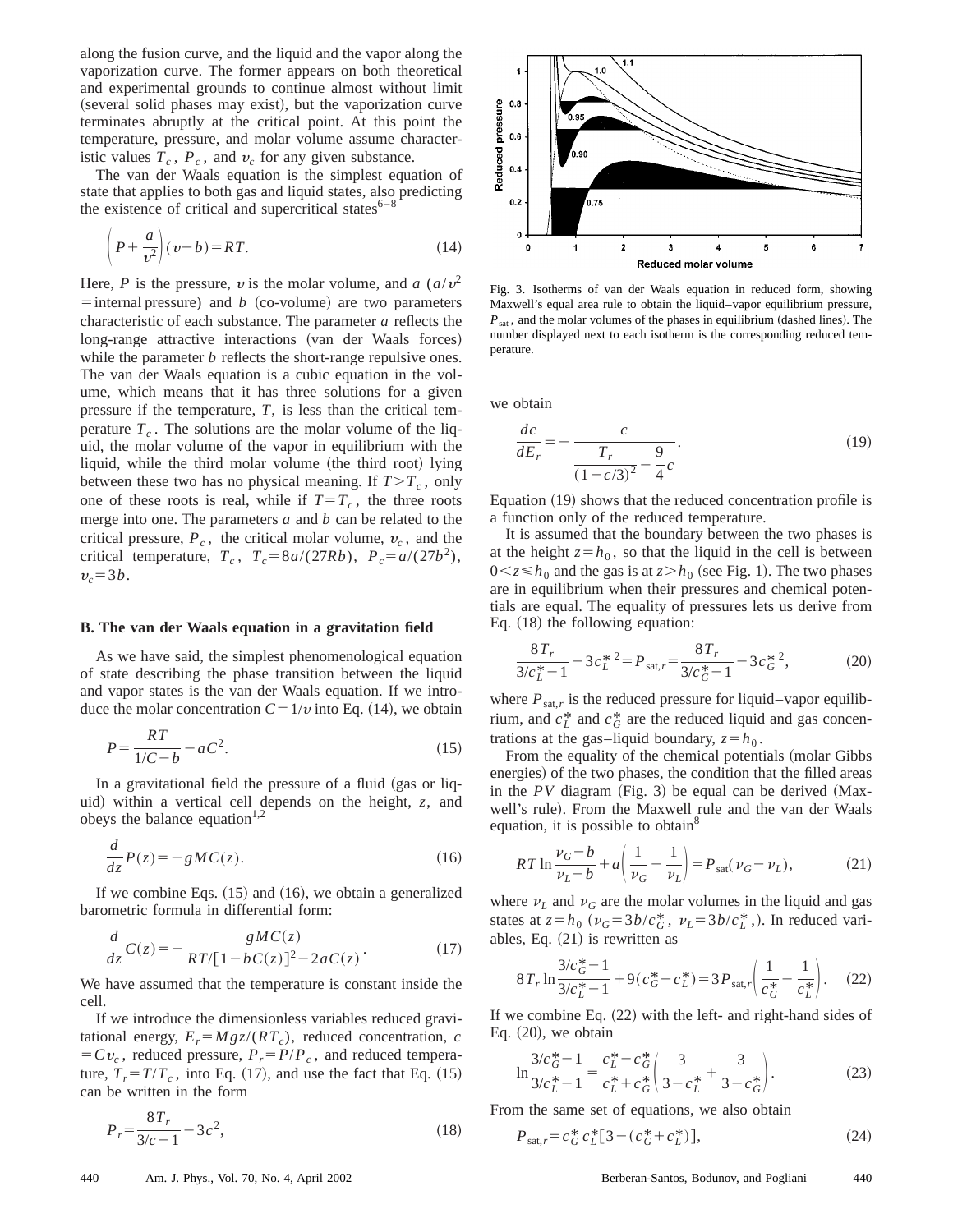along the fusion curve, and the liquid and the vapor along the vaporization curve. The former appears on both theoretical and experimental grounds to continue almost without limit (several solid phases may exist), but the vaporization curve terminates abruptly at the critical point. At this point the temperature, pressure, and molar volume assume characteristic values  $T_c$ ,  $P_c$ , and  $v_c$  for any given substance.

The van der Waals equation is the simplest equation of state that applies to both gas and liquid states, also predicting the existence of critical and supercritical states $6^{-8}$ 

$$
\left(P + \frac{a}{v^2}\right)(v - b) = RT.
$$
\n(14)

Here, *P* is the pressure, *v* is the molar volume, and *a*  $(a/v^2)$  $\overline{a}$ = internal pressure) and *b* (co-volume) are two parameters characteristic of each substance. The parameter *a* reflects the long-range attractive interactions (van der Waals forces) while the parameter *b* reflects the short-range repulsive ones. The van der Waals equation is a cubic equation in the volume, which means that it has three solutions for a given pressure if the temperature, *T*, is less than the critical temperature  $T_c$ . The solutions are the molar volume of the liquid, the molar volume of the vapor in equilibrium with the liquid, while the third molar volume (the third root) lying between these two has no physical meaning. If  $T>T_c$ , only one of these roots is real, while if  $T=T_c$ , the three roots merge into one. The parameters *a* and *b* can be related to the critical pressure,  $P_c$ , the critical molar volume,  $v_c$ , and the critical temperature,  $T_c$ ,  $T_c = 8a/(27Rb)$ ,  $P_c = a/(27b^2)$ ,  $v_c = 3b$ .

#### **B. The van der Waals equation in a gravitation field**

As we have said, the simplest phenomenological equation of state describing the phase transition between the liquid and vapor states is the van der Waals equation. If we introduce the molar concentration  $C = 1/v$  into Eq. (14), we obtain

$$
P = \frac{RT}{1/C - b} - aC^2.
$$
\n<sup>(15)</sup>

In a gravitational field the pressure of a fluid  $(gas \text{ or } liq-)$ uid) within a vertical cell depends on the height,  $z$ , and obeys the balance equation<sup>1,2</sup>

$$
\frac{d}{dz}P(z) = -gMC(z). \tag{16}
$$

If we combine Eqs.  $(15)$  and  $(16)$ , we obtain a generalized barometric formula in differential form:

$$
\frac{d}{dz}C(z) = -\frac{gMC(z)}{RT/[1 - bC(z)]^2 - 2aC(z)}.
$$
\n(17)

We have assumed that the temperature is constant inside the cell.

If we introduce the dimensionless variables reduced gravitational energy,  $E_r = Mgz/(RT_c)$ , reduced concentration, *c*  $= Cv_c$ , reduced pressure,  $P_r = P/P_c$ , and reduced temperature,  $T_r = T/T_c$ , into Eq. (17), and use the fact that Eq. (15) can be written in the form

$$
P_r = \frac{8T_r}{3/c - 1} - 3c^2,\tag{18}
$$



Fig. 3. Isotherms of van der Waals equation in reduced form, showing Maxwell's equal area rule to obtain the liquid–vapor equilibrium pressure,  $P_{\text{sat}}$ , and the molar volumes of the phases in equilibrium (dashed lines). The number displayed next to each isotherm is the corresponding reduced temperature.

we obtain

$$
\frac{dc}{dE_r} = -\frac{c}{T_r} - \frac{9}{(1 - c/3)^2}.
$$
\n(19)

Equation  $(19)$  shows that the reduced concentration profile is a function only of the reduced temperature.

It is assumed that the boundary between the two phases is at the height  $z=h_0$ , so that the liquid in the cell is between  $0 \le z \le h_0$  and the gas is at  $z > h_0$  (see Fig. 1). The two phases are in equilibrium when their pressures and chemical potentials are equal. The equality of pressures lets us derive from Eq.  $(18)$  the following equation:

$$
\frac{8T_r}{3/c_L^*-1} - 3c_L^{*2} = P_{\text{sat},r} = \frac{8T_r}{3/c_G^*-1} - 3c_G^{*2},\tag{20}
$$

where  $P_{\text{sat,r}}$  is the reduced pressure for liquid–vapor equilibrium, and  $c_L^*$  and  $c_G^*$  are the reduced liquid and gas concentrations at the gas–liquid boundary,  $z = h_0$ .

From the equality of the chemical potentials (molar Gibbs energies) of the two phases, the condition that the filled areas in the  $PV$  diagram (Fig. 3) be equal can be derived (Maxwell's rule). From the Maxwell rule and the van der Waals equation, it is possible to obtain $\delta$ 

$$
RT \ln \frac{\nu_G - b}{\nu_L - b} + a \left( \frac{1}{\nu_G} - \frac{1}{\nu_L} \right) = P_{\text{sat}}(\nu_G - \nu_L), \tag{21}
$$

where  $\nu_L$  and  $\nu_G$  are the molar volumes in the liquid and gas states at  $z=h_0$  ( $\nu_G=3b/c_G^*$ ,  $\nu_L=3b/c_L^*$ ). In reduced variables, Eq.  $(21)$  is rewritten as

$$
8T_r \ln \frac{3/c_G^* - 1}{3/c_L^* - 1} + 9(c_G^* - c_L^*) = 3P_{\text{sat},r} \left( \frac{1}{c_G^*} - \frac{1}{c_L^*} \right). \tag{22}
$$

If we combine Eq.  $(22)$  with the left- and right-hand sides of Eq.  $(20)$ , we obtain

$$
\ln \frac{3/c_G^* - 1}{3/c_L^* - 1} = \frac{c_L^* - c_G^*}{c_L^* + c_G^*} \left( \frac{3}{3 - c_L^*} + \frac{3}{3 - c_G^*} \right). \tag{23}
$$

From the same set of equations, we also obtain

$$
P_{\text{sat,r}} = c_G^* c_L^* [3 - (c_G^* + c_L^*)],\tag{24}
$$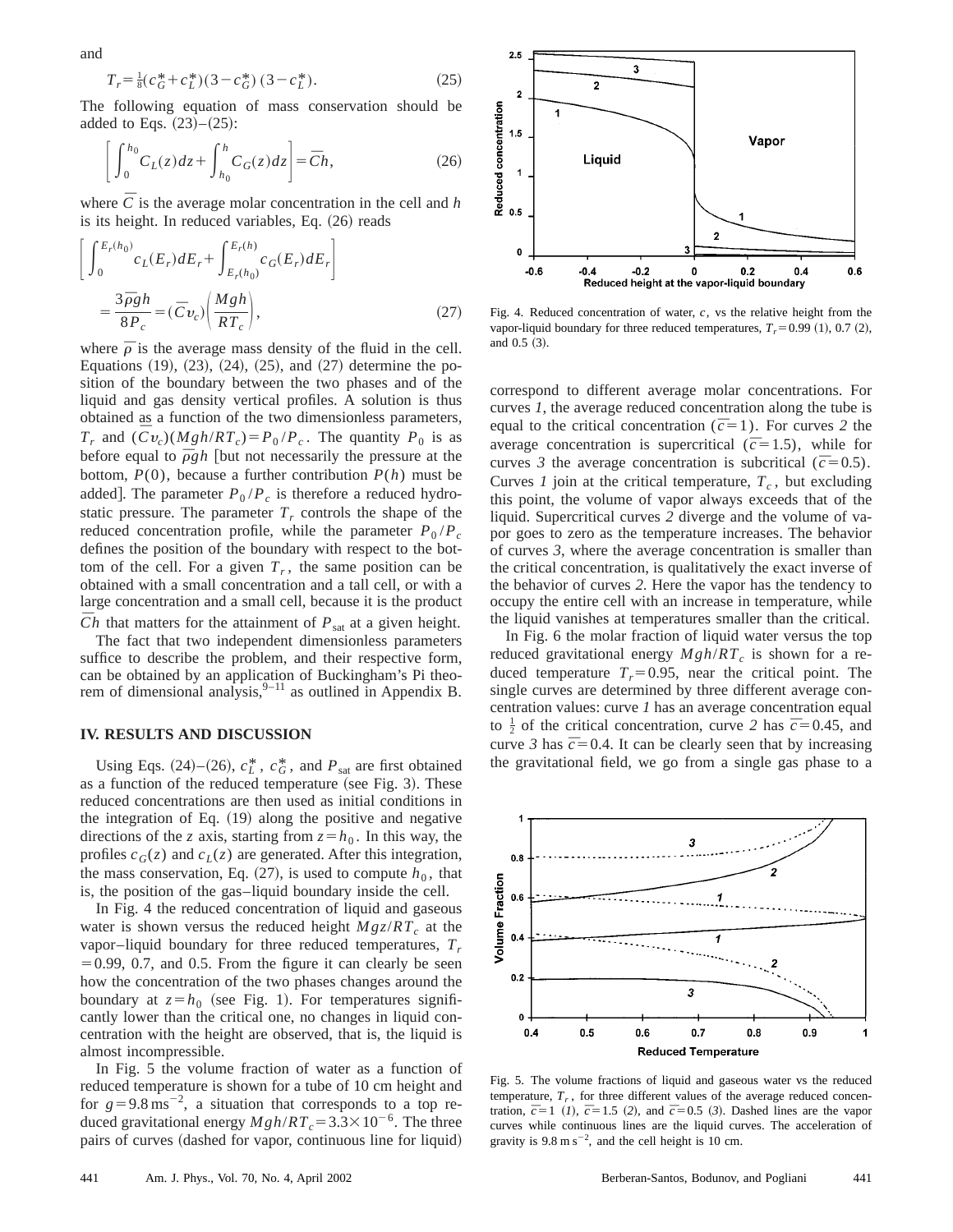$$
T_r = \frac{1}{8} (c_G^* + c_L^*)(3 - c_G^*) (3 - c_L^*).
$$
 (25)

The following equation of mass conservation should be added to Eqs.  $(23)–(25)$ :

$$
\left[\int_0^{h_0} C_L(z)dz + \int_{h_0}^h C_G(z)dz\right] = \overline{C}h,\tag{26}
$$

where  $\overline{C}$  is the average molar concentration in the cell and *h* is its height. In reduced variables, Eq.  $(26)$  reads

$$
\begin{aligned}\n\bigg[\int_{0}^{E_r(h_0)} c_L(E_r) dE_r + \int_{E_r(h_0)}^{E_r(h)} c_G(E_r) dE_r\bigg] \\
&= \frac{3\bar{\rho}gh}{8P_c} = (\bar{C}v_c) \bigg(\frac{Mgh}{RT_c}\bigg),\n\end{aligned} \tag{27}
$$

where  $\bar{\rho}$  is the average mass density of the fluid in the cell. Equations  $(19)$ ,  $(23)$ ,  $(24)$ ,  $(25)$ , and  $(27)$  determine the position of the boundary between the two phases and of the liquid and gas density vertical profiles. A solution is thus obtained as a function of the two dimensionless parameters,  $T_r$  and  $(Cv_c)(Mgh/RT_c)=P_0/P_c$ . The quantity  $P_0$  is as before equal to  $\bar{\rho}gh$  [but not necessarily the pressure at the bottom,  $P(0)$ , because a further contribution  $P(h)$  must be added]. The parameter  $P_0 / P_c$  is therefore a reduced hydrostatic pressure. The parameter  $T_r$  controls the shape of the reduced concentration profile, while the parameter  $P_0/P_c$ defines the position of the boundary with respect to the bottom of the cell. For a given  $T_r$ , the same position can be obtained with a small concentration and a tall cell, or with a large concentration and a small cell, because it is the product  $\overline{C}h$  that matters for the attainment of  $P_{\text{sat}}$  at a given height.

The fact that two independent dimensionless parameters suffice to describe the problem, and their respective form, can be obtained by an application of Buckingham's Pi theorem of dimensional analysis,  $9-11$  as outlined in Appendix B.

#### **IV. RESULTS AND DISCUSSION**

Using Eqs.  $(24)$ – $(26)$ ,  $c_L^*$ ,  $c_G^*$ , and  $P_{sat}$  are first obtained as a function of the reduced temperature (see Fig. 3). These reduced concentrations are then used as initial conditions in the integration of Eq.  $(19)$  along the positive and negative directions of the *z* axis, starting from  $z = h_0$ . In this way, the profiles  $c_G(z)$  and  $c_L(z)$  are generated. After this integration, the mass conservation, Eq.  $(27)$ , is used to compute  $h_0$ , that is, the position of the gas–liquid boundary inside the cell.

In Fig. 4 the reduced concentration of liquid and gaseous water is shown versus the reduced height  $Mgz/RT_c$  at the vapor–liquid boundary for three reduced temperatures,  $T_r$  $=0.99, 0.7,$  and 0.5. From the figure it can clearly be seen how the concentration of the two phases changes around the boundary at  $z=h_0$  (see Fig. 1). For temperatures significantly lower than the critical one, no changes in liquid concentration with the height are observed, that is, the liquid is almost incompressible.

In Fig. 5 the volume fraction of water as a function of reduced temperature is shown for a tube of 10 cm height and for  $g=9.8 \text{ ms}^{-2}$ , a situation that corresponds to a top reduced gravitational energy  $Mgh/RT_c = 3.3 \times 10^{-6}$ . The three pairs of curves (dashed for vapor, continuous line for liquid)



Fig. 4. Reduced concentration of water, *c*, vs the relative height from the vapor-liquid boundary for three reduced temperatures,  $T_r = 0.99$  (1), 0.7 (2), and  $0.5$   $(3)$ .

correspond to different average molar concentrations. For curves *1*, the average reduced concentration along the tube is equal to the critical concentration ( $\bar{c}=1$ ). For curves 2 the average concentration is supercritical ( $\bar{c}$ =1.5), while for curves 3 the average concentration is subcritical ( $\bar{c}$ =0.5). Curves *1* join at the critical temperature,  $T_c$ , but excluding this point, the volume of vapor always exceeds that of the liquid. Supercritical curves *2* diverge and the volume of vapor goes to zero as the temperature increases. The behavior of curves *3*, where the average concentration is smaller than the critical concentration, is qualitatively the exact inverse of the behavior of curves *2*. Here the vapor has the tendency to occupy the entire cell with an increase in temperature, while the liquid vanishes at temperatures smaller than the critical.

In Fig. 6 the molar fraction of liquid water versus the top reduced gravitational energy  $Mgh/RT_c$  is shown for a reduced temperature  $T<sub>r</sub>=0.95$ , near the critical point. The single curves are determined by three different average concentration values: curve *1* has an average concentration equal to  $\frac{1}{2}$  of the critical concentration, curve 2 has  $\bar{c}$  = 0.45, and curve 3 has  $\bar{c}$ =0.4. It can be clearly seen that by increasing the gravitational field, we go from a single gas phase to a



Fig. 5. The volume fractions of liquid and gaseous water vs the reduced temperature,  $T_r$ , for three different values of the average reduced concentration,  $\bar{c}$ =1 (*I*),  $\bar{c}$ =1.5 (2), and  $\bar{c}$ =0.5 (3). Dashed lines are the vapor curves while continuous lines are the liquid curves. The acceleration of gravity is  $9.8 \text{ m s}^{-2}$ , and the cell height is 10 cm.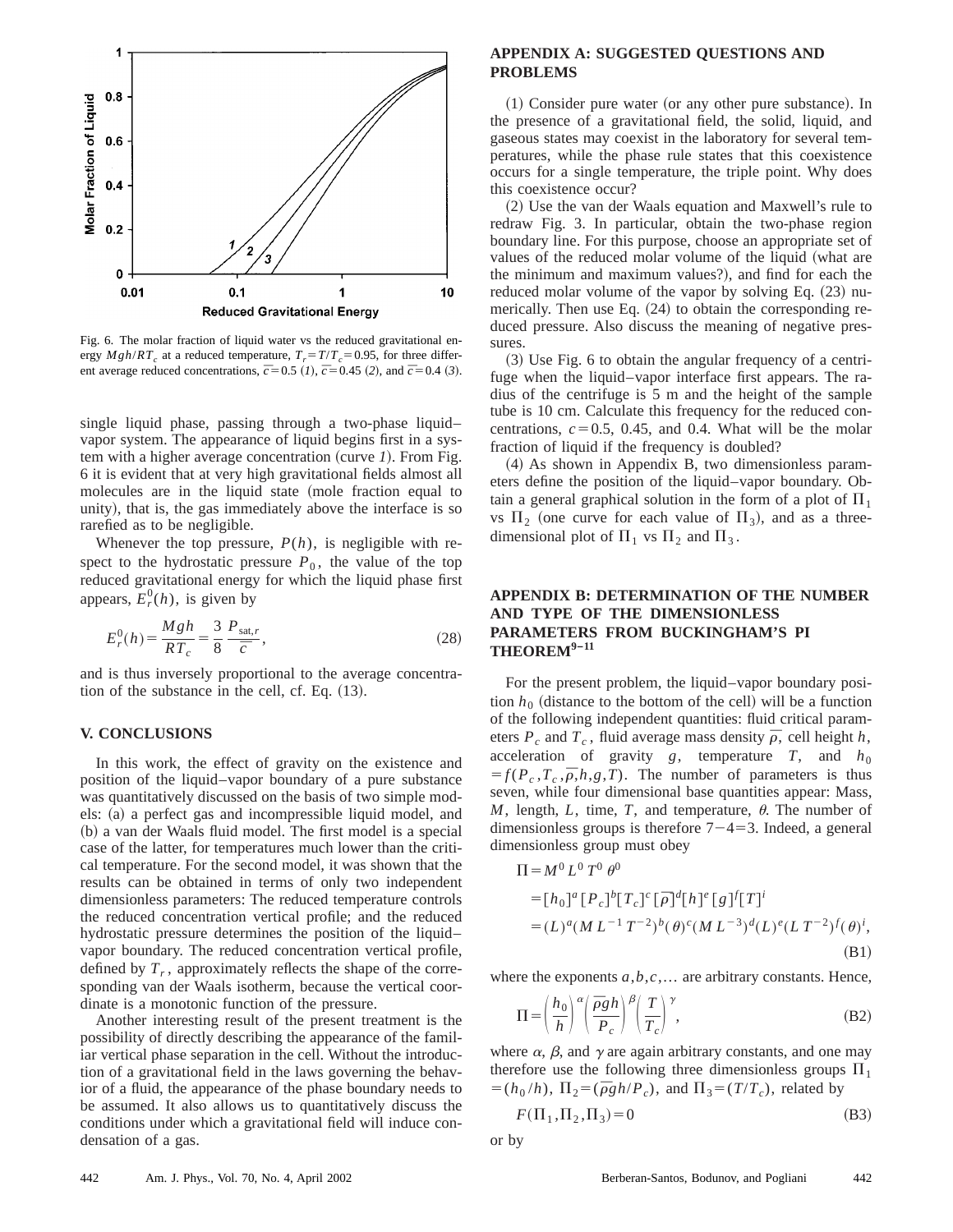

Fig. 6. The molar fraction of liquid water vs the reduced gravitational energy  $Mgh/RT_c$  at a reduced temperature,  $T_r = T/T_c = 0.95$ , for three different average reduced concentrations,  $\bar{c}$  = 0.5 (*1*),  $\bar{c}$  = 0.45 (*2*), and  $\bar{c}$  = 0.4 (*3*).

single liquid phase, passing through a two-phase liquid– vapor system. The appearance of liquid begins first in a system with a higher average concentration (curve 1). From Fig. 6 it is evident that at very high gravitational fields almost all molecules are in the liquid state (mole fraction equal to unity), that is, the gas immediately above the interface is so rarefied as to be negligible.

Whenever the top pressure,  $P(h)$ , is negligible with respect to the hydrostatic pressure  $P_0$ , the value of the top reduced gravitational energy for which the liquid phase first appears,  $E_r^0(h)$ , is given by

$$
E_r^0(h) = \frac{Mgh}{RT_c} = \frac{3}{8} \frac{P_{\text{sat},r}}{\bar{c}},\tag{28}
$$

and is thus inversely proportional to the average concentration of the substance in the cell, cf. Eq.  $(13)$ .

#### **V. CONCLUSIONS**

In this work, the effect of gravity on the existence and position of the liquid–vapor boundary of a pure substance was quantitatively discussed on the basis of two simple models: (a) a perfect gas and incompressible liquid model, and (b) a van der Waals fluid model. The first model is a special case of the latter, for temperatures much lower than the critical temperature. For the second model, it was shown that the results can be obtained in terms of only two independent dimensionless parameters: The reduced temperature controls the reduced concentration vertical profile; and the reduced hydrostatic pressure determines the position of the liquid– vapor boundary. The reduced concentration vertical profile, defined by  $T_r$ , approximately reflects the shape of the corresponding van der Waals isotherm, because the vertical coordinate is a monotonic function of the pressure.

Another interesting result of the present treatment is the possibility of directly describing the appearance of the familiar vertical phase separation in the cell. Without the introduction of a gravitational field in the laws governing the behavior of a fluid, the appearance of the phase boundary needs to be assumed. It also allows us to quantitatively discuss the conditions under which a gravitational field will induce condensation of a gas.

## **APPENDIX A: SUGGESTED QUESTIONS AND PROBLEMS**

 $(1)$  Consider pure water (or any other pure substance). In the presence of a gravitational field, the solid, liquid, and gaseous states may coexist in the laboratory for several temperatures, while the phase rule states that this coexistence occurs for a single temperature, the triple point. Why does this coexistence occur?

(2) Use the van der Waals equation and Maxwell's rule to redraw Fig. 3. In particular, obtain the two-phase region boundary line. For this purpose, choose an appropriate set of values of the reduced molar volume of the liquid (what are the minimum and maximum values?), and find for each the reduced molar volume of the vapor by solving Eq.  $(23)$  numerically. Then use Eq.  $(24)$  to obtain the corresponding reduced pressure. Also discuss the meaning of negative pressures.

 $(3)$  Use Fig. 6 to obtain the angular frequency of a centrifuge when the liquid–vapor interface first appears. The radius of the centrifuge is 5 m and the height of the sample tube is 10 cm. Calculate this frequency for the reduced concentrations,  $c = 0.5$ , 0.45, and 0.4. What will be the molar fraction of liquid if the frequency is doubled?

 $(4)$  As shown in Appendix B, two dimensionless parameters define the position of the liquid–vapor boundary. Obtain a general graphical solution in the form of a plot of  $\Pi_1$ vs  $\Pi_2$  (one curve for each value of  $\Pi_3$ ), and as a threedimensional plot of  $\Pi_1$  vs  $\Pi_2$  and  $\Pi_3$ .

# **APPENDIX B: DETERMINATION OF THE NUMBER AND TYPE OF THE DIMENSIONLESS PARAMETERS FROM BUCKINGHAM'S PI THEOREM9–<sup>11</sup>**

For the present problem, the liquid–vapor boundary position  $h_0$  (distance to the bottom of the cell) will be a function of the following independent quantities: fluid critical parameters  $P_c$  and  $T_c$ , fluid average mass density  $\bar{\rho}$ , cell height *h*, acceleration of gravity  $g$ , temperature  $T$ , and  $h_0$  $f(P_c, T_c, \overline{\rho}, h, g, T)$ . The number of parameters is thus seven, while four dimensional base quantities appear: Mass,  $M$ , length,  $L$ , time,  $T$ , and temperature,  $\theta$ . The number of dimensionless groups is therefore  $7-4=3$ . Indeed, a general dimensionless group must obey

$$
\Pi = M^{0} L^{0} T^{0} \theta^{0}
$$
  
=  $[h_{0}]^{a} [P_{c}]^{b} [T_{c}]^{c} [\bar{\rho}]^{d} [h]^{e} [g]^{f} [T]^{i}$   
=  $(L)^{a} (ML^{-1} T^{-2})^{b} (\theta)^{c} (ML^{-3})^{d} (L)^{e} (LT^{-2})^{f} (\theta)^{i}$ , (B1)

where the exponents *a*,*b*,*c*,... are arbitrary constants. Hence,

$$
\Pi = \left(\frac{h_0}{h}\right)^{\alpha} \left(\frac{\overline{\rho}gh}{P_c}\right)^{\beta} \left(\frac{T}{T_c}\right)^{\gamma},\tag{B2}
$$

where  $\alpha$ ,  $\beta$ , and  $\gamma$  are again arbitrary constants, and one may therefore use the following three dimensionless groups  $\Pi_1$  $= (h_0 / h)$ ,  $\Pi_2 = (\bar{\rho} g h / P_c)$ , and  $\Pi_3 = (T/T_c)$ , related by

$$
F(\Pi_1, \Pi_2, \Pi_3) = 0 \tag{B3}
$$

or by